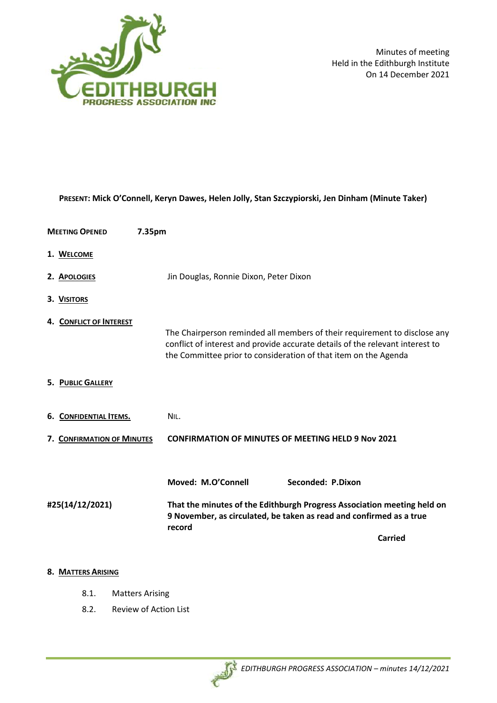

Minutes of meeting Held in the Edithburgh Institute On 14 December 2021

| PRESENT: Mick O'Connell, Keryn Dawes, Helen Jolly, Stan Szczypiorski, Jen Dinham (Minute Taker) |                                                                                                                                                                                                                               |  |
|-------------------------------------------------------------------------------------------------|-------------------------------------------------------------------------------------------------------------------------------------------------------------------------------------------------------------------------------|--|
| <b>MEETING OPENED</b><br>7.35pm                                                                 |                                                                                                                                                                                                                               |  |
| 1. WELCOME                                                                                      |                                                                                                                                                                                                                               |  |
| 2. APOLOGIES                                                                                    | Jin Douglas, Ronnie Dixon, Peter Dixon                                                                                                                                                                                        |  |
| 3. VISITORS                                                                                     |                                                                                                                                                                                                                               |  |
| 4. CONFLICT OF INTEREST                                                                         | The Chairperson reminded all members of their requirement to disclose any<br>conflict of interest and provide accurate details of the relevant interest to<br>the Committee prior to consideration of that item on the Agenda |  |
| 5. PUBLIC GALLERY                                                                               |                                                                                                                                                                                                                               |  |
| 6. CONFIDENTIAL ITEMS.                                                                          | NIL.                                                                                                                                                                                                                          |  |
| 7. CONFIRMATION OF MINUTES                                                                      | <b>CONFIRMATION OF MINUTES OF MEETING HELD 9 Nov 2021</b>                                                                                                                                                                     |  |
|                                                                                                 |                                                                                                                                                                                                                               |  |
|                                                                                                 | Moved: M.O'Connell<br>Seconded: P.Dixon                                                                                                                                                                                       |  |
| #25(14/12/2021)                                                                                 | That the minutes of the Edithburgh Progress Association meeting held on<br>9 November, as circulated, be taken as read and confirmed as a true<br>record                                                                      |  |
|                                                                                                 | <b>Carried</b>                                                                                                                                                                                                                |  |
|                                                                                                 |                                                                                                                                                                                                                               |  |

## **8. MATTERS ARISING**

- 8.1. Matters Arising
- 8.2. Review of Action List

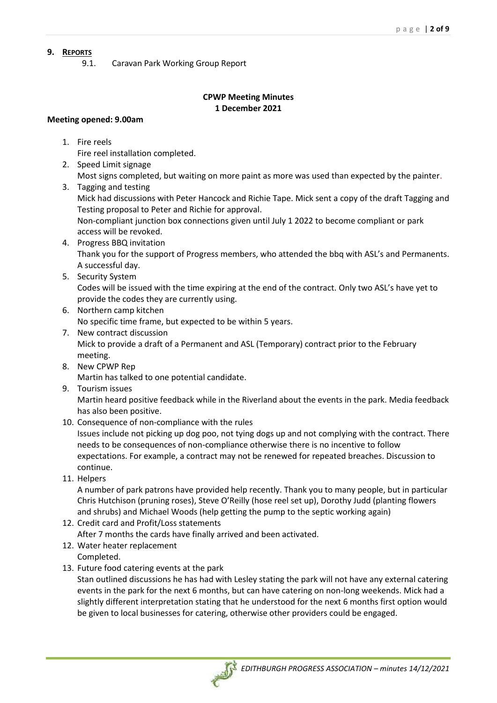## **9. REPORTS**

9.1. Caravan Park Working Group Report

# **CPWP Meeting Minutes 1 December 2021**

## **Meeting opened: 9.00am**

1. Fire reels

Fire reel installation completed.

- 2. Speed Limit signage Most signs completed, but waiting on more paint as more was used than expected by the painter.
- 3. Tagging and testing Mick had discussions with Peter Hancock and Richie Tape. Mick sent a copy of the draft Tagging and Testing proposal to Peter and Richie for approval. Non-compliant junction box connections given until July 1 2022 to become compliant or park access will be revoked.
- 4. Progress BBQ invitation Thank you for the support of Progress members, who attended the bbq with ASL's and Permanents. A successful day.
- 5. Security System Codes will be issued with the time expiring at the end of the contract. Only two ASL's have yet to provide the codes they are currently using.
- 6. Northern camp kitchen

No specific time frame, but expected to be within 5 years.

- 7. New contract discussion Mick to provide a draft of a Permanent and ASL (Temporary) contract prior to the February meeting.
- 8. New CPWP Rep Martin has talked to one potential candidate.
- 9. Tourism issues Martin heard positive feedback while in the Riverland about the events in the park. Media feedback has also been positive.
- 10. Consequence of non-compliance with the rules

Issues include not picking up dog poo, not tying dogs up and not complying with the contract. There needs to be consequences of non-compliance otherwise there is no incentive to follow expectations. For example, a contract may not be renewed for repeated breaches. Discussion to continue.

11. Helpers

A number of park patrons have provided help recently. Thank you to many people, but in particular Chris Hutchison (pruning roses), Steve O'Reilly (hose reel set up), Dorothy Judd (planting flowers and shrubs) and Michael Woods (help getting the pump to the septic working again)

12. Credit card and Profit/Loss statements

After 7 months the cards have finally arrived and been activated.

- 12. Water heater replacement Completed.
- 13. Future food catering events at the park

Stan outlined discussions he has had with Lesley stating the park will not have any external catering events in the park for the next 6 months, but can have catering on non-long weekends. Mick had a slightly different interpretation stating that he understood for the next 6 months first option would be given to local businesses for catering, otherwise other providers could be engaged.

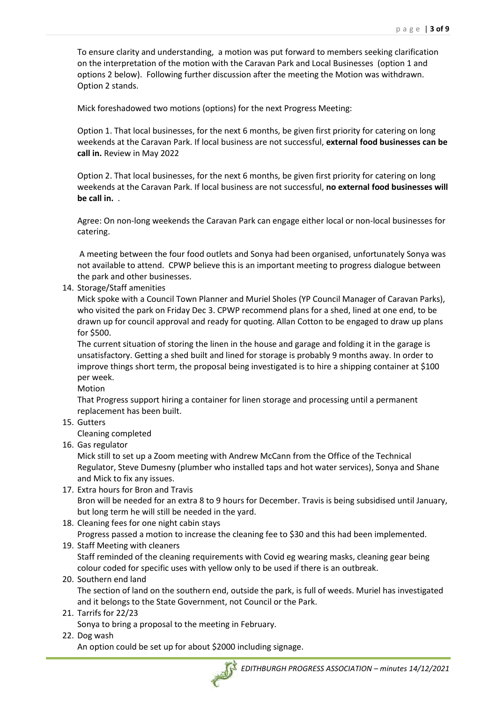To ensure clarity and understanding, a motion was put forward to members seeking clarification on the interpretation of the motion with the Caravan Park and Local Businesses (option 1 and options 2 below). Following further discussion after the meeting the Motion was withdrawn. Option 2 stands.

Mick foreshadowed two motions (options) for the next Progress Meeting:

Option 1. That local businesses, for the next 6 months, be given first priority for catering on long weekends at the Caravan Park. If local business are not successful, **external food businesses can be call in.** Review in May 2022

Option 2. That local businesses, for the next 6 months, be given first priority for catering on long weekends at the Caravan Park. If local business are not successful, **no external food businesses will be call in.** .

Agree: On non-long weekends the Caravan Park can engage either local or non-local businesses for catering.

A meeting between the four food outlets and Sonya had been organised, unfortunately Sonya was not available to attend. CPWP believe this is an important meeting to progress dialogue between the park and other businesses.

14. Storage/Staff amenities

Mick spoke with a Council Town Planner and Muriel Sholes (YP Council Manager of Caravan Parks), who visited the park on Friday Dec 3. CPWP recommend plans for a shed, lined at one end, to be drawn up for council approval and ready for quoting. Allan Cotton to be engaged to draw up plans for \$500.

The current situation of storing the linen in the house and garage and folding it in the garage is unsatisfactory. Getting a shed built and lined for storage is probably 9 months away. In order to improve things short term, the proposal being investigated is to hire a shipping container at \$100 per week.

Motion

That Progress support hiring a container for linen storage and processing until a permanent replacement has been built.

15. Gutters

Cleaning completed

16. Gas regulator

Mick still to set up a Zoom meeting with Andrew McCann from the Office of the Technical Regulator, Steve Dumesny (plumber who installed taps and hot water services), Sonya and Shane and Mick to fix any issues.

- 17. Extra hours for Bron and Travis Bron will be needed for an extra 8 to 9 hours for December. Travis is being subsidised until January, but long term he will still be needed in the yard.
- 18. Cleaning fees for one night cabin stays

Progress passed a motion to increase the cleaning fee to \$30 and this had been implemented.

- 19. Staff Meeting with cleaners Staff reminded of the cleaning requirements with Covid eg wearing masks, cleaning gear being colour coded for specific uses with yellow only to be used if there is an outbreak.
- 20. Southern end land

The section of land on the southern end, outside the park, is full of weeds. Muriel has investigated and it belongs to the State Government, not Council or the Park.

21. Tarrifs for 22/23

Sonya to bring a proposal to the meeting in February.

22. Dog wash

An option could be set up for about \$2000 including signage.

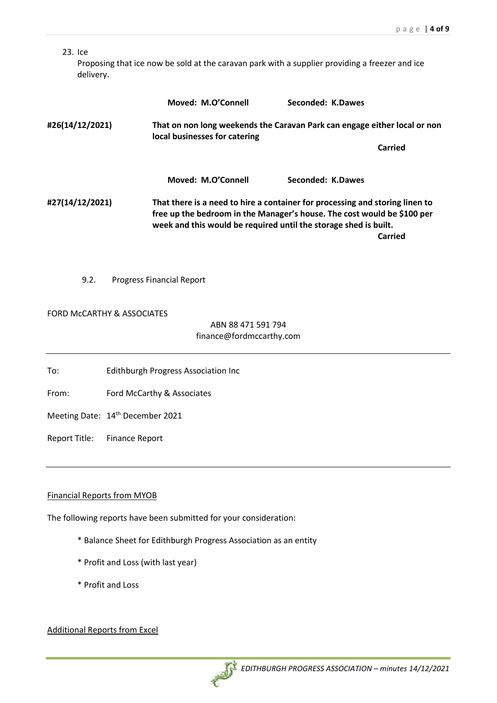### 23. Ice

Proposing that ice now be sold at the caravan park with a supplier providing a freezer and ice delivery.

|                 | Moved: M.O'Connell                                                                                                                                                                                                                     | Seconded: K.Dawes                                                         |
|-----------------|----------------------------------------------------------------------------------------------------------------------------------------------------------------------------------------------------------------------------------------|---------------------------------------------------------------------------|
| #26(14/12/2021) | local businesses for catering                                                                                                                                                                                                          | That on non long weekends the Caravan Park can engage either local or non |
|                 |                                                                                                                                                                                                                                        | Carried                                                                   |
|                 | Moved: M.O'Connell                                                                                                                                                                                                                     | Seconded: K.Dawes                                                         |
| #27(14/12/2021) | That there is a need to hire a container for processing and storing linen to<br>free up the bedroom in the Manager's house. The cost would be \$100 per<br>week and this would be required until the storage shed is built.<br>Carried |                                                                           |
|                 |                                                                                                                                                                                                                                        |                                                                           |

9.2. Progress Financial Report

#### FORD McCARTHY & ASSOCIATES

ABN 88 471 591 794 finance@fordmccarthy.com

To: Edithburgh Progress Association Inc

From: Ford McCarthy & Associates

Meeting Date: 14<sup>th</sup> December 2021

Report Title: Finance Report

### Financial Reports from MYOB

The following reports have been submitted for your consideration:

- \* Balance Sheet for Edithburgh Progress Association as an entity
- \* Profit and Loss (with last year)
- \* Profit and Loss

## Additional Reports from Excel

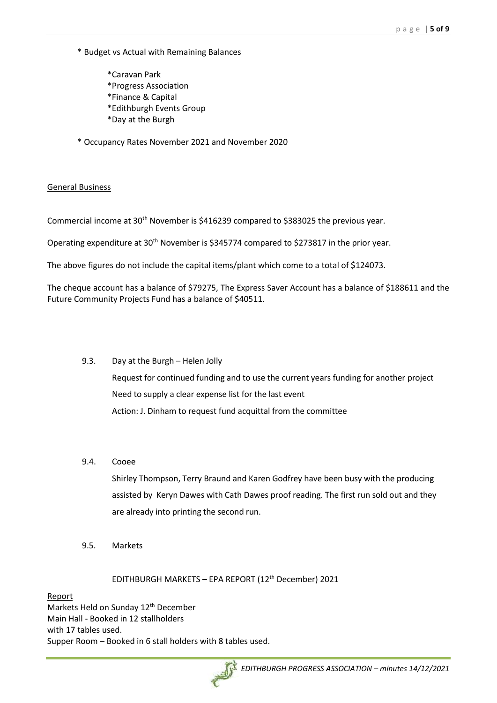- \* Budget vs Actual with Remaining Balances
	- \*Caravan Park \*Progress Association \*Finance & Capital \*Edithburgh Events Group \*Day at the Burgh
- \* Occupancy Rates November 2021 and November 2020

#### General Business

Commercial income at 30<sup>th</sup> November is \$416239 compared to \$383025 the previous year.

Operating expenditure at 30<sup>th</sup> November is \$345774 compared to \$273817 in the prior year.

The above figures do not include the capital items/plant which come to a total of \$124073.

The cheque account has a balance of \$79275, The Express Saver Account has a balance of \$188611 and the Future Community Projects Fund has a balance of \$40511.

#### 9.3. Day at the Burgh – Helen Jolly

Request for continued funding and to use the current years funding for another project Need to supply a clear expense list for the last event Action: J. Dinham to request fund acquittal from the committee

9.4. Cooee

Shirley Thompson, Terry Braund and Karen Godfrey have been busy with the producing assisted by Keryn Dawes with Cath Dawes proof reading. The first run sold out and they are already into printing the second run.

9.5. Markets

EDITHBURGH MARKETS - EPA REPORT (12<sup>th</sup> December) 2021

Report

Markets Held on Sunday 12<sup>th</sup> December Main Hall - Booked in 12 stallholders with 17 tables used. Supper Room – Booked in 6 stall holders with 8 tables used.

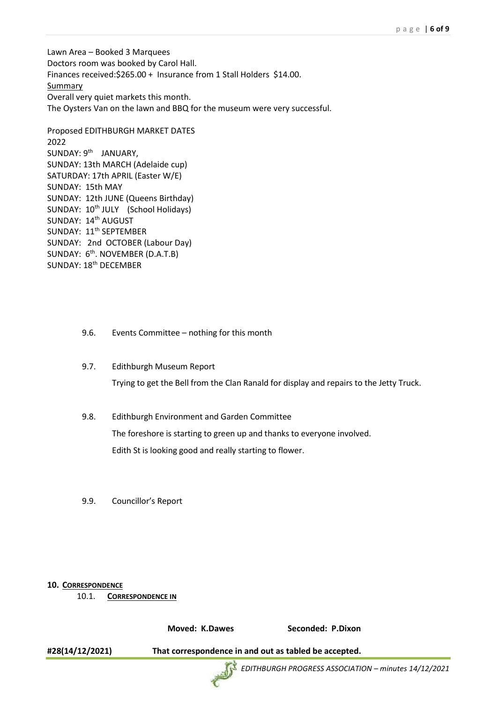Lawn Area – Booked 3 Marquees Doctors room was booked by Carol Hall. Finances received:\$265.00 + Insurance from 1 Stall Holders \$14.00. **Summary** Overall very quiet markets this month. The Oysters Van on the lawn and BBQ for the museum were very successful.

Proposed EDITHBURGH MARKET DATES 2022 SUNDAY: 9<sup>th</sup> JANUARY, SUNDAY: 13th MARCH (Adelaide cup) SATURDAY: 17th APRIL (Easter W/E) SUNDAY: 15th MAY SUNDAY: 12th JUNE (Queens Birthday) SUNDAY: 10<sup>th</sup> JULY (School Holidays) SUNDAY: 14<sup>th</sup> AUGUST SUNDAY: 11<sup>th</sup> SEPTEMBER SUNDAY: 2nd OCTOBER (Labour Day) SUNDAY: 6<sup>th</sup>. NOVEMBER (D.A.T.B) SUNDAY: 18<sup>th</sup> DECEMBER

- 9.6. Events Committee nothing for this month
- 9.7. Edithburgh Museum Report

Trying to get the Bell from the Clan Ranald for display and repairs to the Jetty Truck.

- 9.8. Edithburgh Environment and Garden Committee The foreshore is starting to green up and thanks to everyone involved. Edith St is looking good and really starting to flower.
- 9.9. Councillor's Report

#### **10. CORRESPONDENCE**

10.1. **CORRESPONDENCE IN**

**Moved: K.Dawes Seconded: P.Dixon**

**#28(14/12/2021) That correspondence in and out as tabled be accepted.**



*EDITHBURGH PROGRESS ASSOCIATION – minutes 14/12/2021*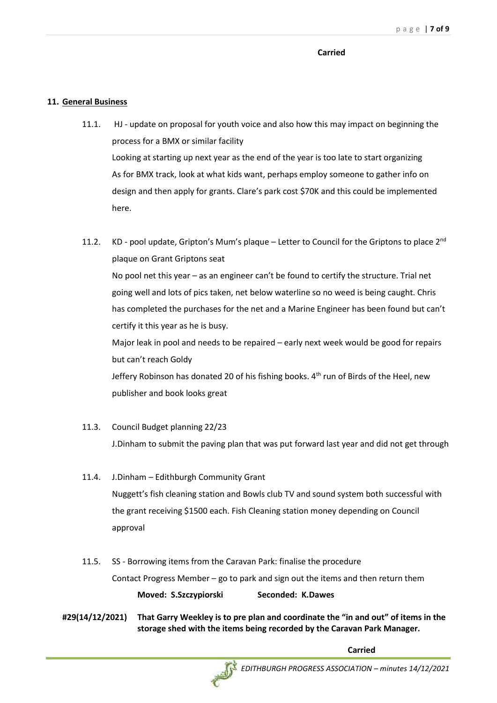#### **Carried**

### **11. General Business**

- 11.1. HJ update on proposal for youth voice and also how this may impact on beginning the process for a BMX or similar facility Looking at starting up next year as the end of the year is too late to start organizing As for BMX track, look at what kids want, perhaps employ someone to gather info on design and then apply for grants. Clare's park cost \$70K and this could be implemented here.
- 11.2. KD pool update, Gripton's Mum's plaque Letter to Council for the Griptons to place 2<sup>nd</sup> plaque on Grant Griptons seat No pool net this year – as an engineer can't be found to certify the structure. Trial net going well and lots of pics taken, net below waterline so no weed is being caught. Chris has completed the purchases for the net and a Marine Engineer has been found but can't certify it this year as he is busy. Major leak in pool and needs to be repaired – early next week would be good for repairs but can't reach Goldy Jeffery Robinson has donated 20 of his fishing books.  $4<sup>th</sup>$  run of Birds of the Heel, new publisher and book looks great
- 11.3. Council Budget planning 22/23 J.Dinham to submit the paving plan that was put forward last year and did not get through
- 11.4. J.Dinham Edithburgh Community Grant Nuggett's fish cleaning station and Bowls club TV and sound system both successful with the grant receiving \$1500 each. Fish Cleaning station money depending on Council approval
- 11.5. SS Borrowing items from the Caravan Park: finalise the procedure Contact Progress Member – go to park and sign out the items and then return them **Moved: S.Szczypiorski Seconded: K.Dawes**
- **#29(14/12/2021) That Garry Weekley is to pre plan and coordinate the "in and out" of items in the storage shed with the items being recorded by the Caravan Park Manager.**

**Carried**

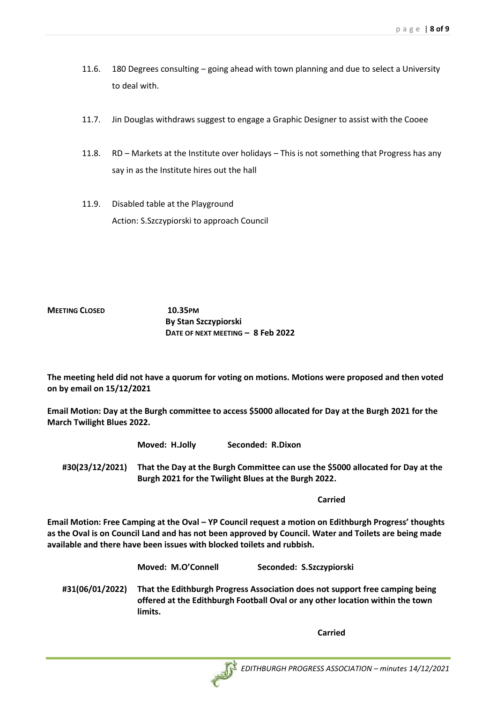- 11.6. 180 Degrees consulting going ahead with town planning and due to select a University to deal with.
- 11.7. Jin Douglas withdraws suggest to engage a Graphic Designer to assist with the Cooee
- 11.8. RD Markets at the Institute over holidays This is not something that Progress has any say in as the Institute hires out the hall
- 11.9. Disabled table at the Playground Action: S.Szczypiorski to approach Council

## **MEETING CLOSED 10.35PM By Stan Szczypiorski DATE OF NEXT MEETING – 8 Feb 2022**

**The meeting held did not have a quorum for voting on motions. Motions were proposed and then voted on by email on 15/12/2021**

**Email Motion: Day at the Burgh committee to access \$5000 allocated for Day at the Burgh 2021 for the March Twilight Blues 2022.**

**Moved: H.Jolly Seconded: R.Dixon**

**#30(23/12/2021) That the Day at the Burgh Committee can use the \$5000 allocated for Day at the Burgh 2021 for the Twilight Blues at the Burgh 2022.**

**Carried**

**Email Motion: Free Camping at the Oval – YP Council request a motion on Edithburgh Progress' thoughts as the Oval is on Council Land and has not been approved by Council. Water and Toilets are being made available and there have been issues with blocked toilets and rubbish.**

**Moved: M.O'Connell Seconded: S.Szczypiorski**

**#31(06/01/2022) That the Edithburgh Progress Association does not support free camping being offered at the Edithburgh Football Oval or any other location within the town limits.**

**Carried**